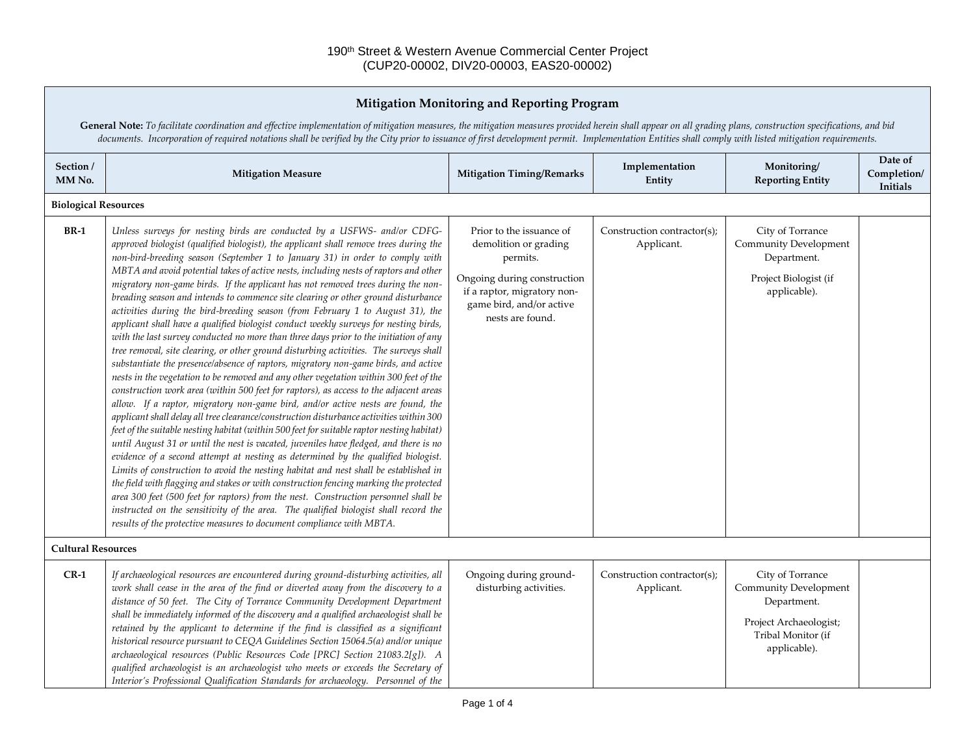| Mitigation Monitoring and Reporting Program                                                                                                                                                                                                                                                                                                                                                                            |                                                                                                                                                                                                                                                                                                                                                                                                                                                                                                                                                                                                                                                                                                                                                                                                                                                                                                                                                                                                                                                                                                                                                                                                                                                                                                                                                                                                                                                                                                                                                                                                                                                                                                                                                                                                                                                                                                                                                                                                                                                        |                                                                                                                                                                             |                                           |                                                                                                                                 |                                           |  |
|------------------------------------------------------------------------------------------------------------------------------------------------------------------------------------------------------------------------------------------------------------------------------------------------------------------------------------------------------------------------------------------------------------------------|--------------------------------------------------------------------------------------------------------------------------------------------------------------------------------------------------------------------------------------------------------------------------------------------------------------------------------------------------------------------------------------------------------------------------------------------------------------------------------------------------------------------------------------------------------------------------------------------------------------------------------------------------------------------------------------------------------------------------------------------------------------------------------------------------------------------------------------------------------------------------------------------------------------------------------------------------------------------------------------------------------------------------------------------------------------------------------------------------------------------------------------------------------------------------------------------------------------------------------------------------------------------------------------------------------------------------------------------------------------------------------------------------------------------------------------------------------------------------------------------------------------------------------------------------------------------------------------------------------------------------------------------------------------------------------------------------------------------------------------------------------------------------------------------------------------------------------------------------------------------------------------------------------------------------------------------------------------------------------------------------------------------------------------------------------|-----------------------------------------------------------------------------------------------------------------------------------------------------------------------------|-------------------------------------------|---------------------------------------------------------------------------------------------------------------------------------|-------------------------------------------|--|
| General Note: To facilitate coordination and effective implementation of mitigation measures, the mitigation measures provided herein shall appear on all grading plans, construction specifications, and bid<br>documents. Incorporation of required notations shall be verified by the City prior to issuance of first development permit. Implementation Entities shall comply with listed mitigation requirements. |                                                                                                                                                                                                                                                                                                                                                                                                                                                                                                                                                                                                                                                                                                                                                                                                                                                                                                                                                                                                                                                                                                                                                                                                                                                                                                                                                                                                                                                                                                                                                                                                                                                                                                                                                                                                                                                                                                                                                                                                                                                        |                                                                                                                                                                             |                                           |                                                                                                                                 |                                           |  |
| Section /<br>MM No.                                                                                                                                                                                                                                                                                                                                                                                                    | <b>Mitigation Measure</b>                                                                                                                                                                                                                                                                                                                                                                                                                                                                                                                                                                                                                                                                                                                                                                                                                                                                                                                                                                                                                                                                                                                                                                                                                                                                                                                                                                                                                                                                                                                                                                                                                                                                                                                                                                                                                                                                                                                                                                                                                              | <b>Mitigation Timing/Remarks</b>                                                                                                                                            | Implementation<br>Entity                  | Monitoring/<br><b>Reporting Entity</b>                                                                                          | Date of<br>Completion/<br><b>Initials</b> |  |
| <b>Biological Resources</b>                                                                                                                                                                                                                                                                                                                                                                                            |                                                                                                                                                                                                                                                                                                                                                                                                                                                                                                                                                                                                                                                                                                                                                                                                                                                                                                                                                                                                                                                                                                                                                                                                                                                                                                                                                                                                                                                                                                                                                                                                                                                                                                                                                                                                                                                                                                                                                                                                                                                        |                                                                                                                                                                             |                                           |                                                                                                                                 |                                           |  |
| <b>BR-1</b>                                                                                                                                                                                                                                                                                                                                                                                                            | Unless surveys for nesting birds are conducted by a USFWS- and/or CDFG-<br>approved biologist (qualified biologist), the applicant shall remove trees during the<br>non-bird-breeding season (September 1 to January 31) in order to comply with<br>MBTA and avoid potential takes of active nests, including nests of raptors and other<br>migratory non-game birds. If the applicant has not removed trees during the non-<br>breading season and intends to commence site clearing or other ground disturbance<br>activities during the bird-breeding season (from February 1 to August 31), the<br>applicant shall have a qualified biologist conduct weekly surveys for nesting birds,<br>with the last survey conducted no more than three days prior to the initiation of any<br>tree removal, site clearing, or other ground disturbing activities. The surveys shall<br>substantiate the presence/absence of raptors, migratory non-game birds, and active<br>nests in the vegetation to be removed and any other vegetation within 300 feet of the<br>construction work area (within 500 feet for raptors), as access to the adjacent areas<br>allow. If a raptor, migratory non-game bird, and/or active nests are found, the<br>applicant shall delay all tree clearance/construction disturbance activities within 300<br>feet of the suitable nesting habitat (within 500 feet for suitable raptor nesting habitat)<br>until August 31 or until the nest is vacated, juveniles have fledged, and there is no<br>evidence of a second attempt at nesting as determined by the qualified biologist.<br>Limits of construction to avoid the nesting habitat and nest shall be established in<br>the field with flagging and stakes or with construction fencing marking the protected<br>area 300 feet (500 feet for raptors) from the nest. Construction personnel shall be<br>instructed on the sensitivity of the area. The qualified biologist shall record the<br>results of the protective measures to document compliance with MBTA. | Prior to the issuance of<br>demolition or grading<br>permits.<br>Ongoing during construction<br>if a raptor, migratory non-<br>game bird, and/or active<br>nests are found. | Construction contractor(s);<br>Applicant. | City of Torrance<br><b>Community Development</b><br>Department.<br>Project Biologist (if<br>applicable).                        |                                           |  |
| <b>Cultural Resources</b>                                                                                                                                                                                                                                                                                                                                                                                              |                                                                                                                                                                                                                                                                                                                                                                                                                                                                                                                                                                                                                                                                                                                                                                                                                                                                                                                                                                                                                                                                                                                                                                                                                                                                                                                                                                                                                                                                                                                                                                                                                                                                                                                                                                                                                                                                                                                                                                                                                                                        |                                                                                                                                                                             |                                           |                                                                                                                                 |                                           |  |
| $CR-1$                                                                                                                                                                                                                                                                                                                                                                                                                 | If archaeological resources are encountered during ground-disturbing activities, all<br>work shall cease in the area of the find or diverted away from the discovery to a<br>distance of 50 feet. The City of Torrance Community Development Department<br>shall be immediately informed of the discovery and a qualified archaeologist shall be<br>retained by the applicant to determine if the find is classified as a significant<br>historical resource pursuant to CEQA Guidelines Section 15064.5(a) and/or unique<br>archaeological resources (Public Resources Code [PRC] Section 21083.2[g]). A<br>qualified archaeologist is an archaeologist who meets or exceeds the Secretary of<br>Interior's Professional Qualification Standards for archaeology. Personnel of the                                                                                                                                                                                                                                                                                                                                                                                                                                                                                                                                                                                                                                                                                                                                                                                                                                                                                                                                                                                                                                                                                                                                                                                                                                                                    | Ongoing during ground-<br>disturbing activities.                                                                                                                            | Construction contractor(s);<br>Applicant. | City of Torrance<br><b>Community Development</b><br>Department.<br>Project Archaeologist;<br>Tribal Monitor (if<br>applicable). |                                           |  |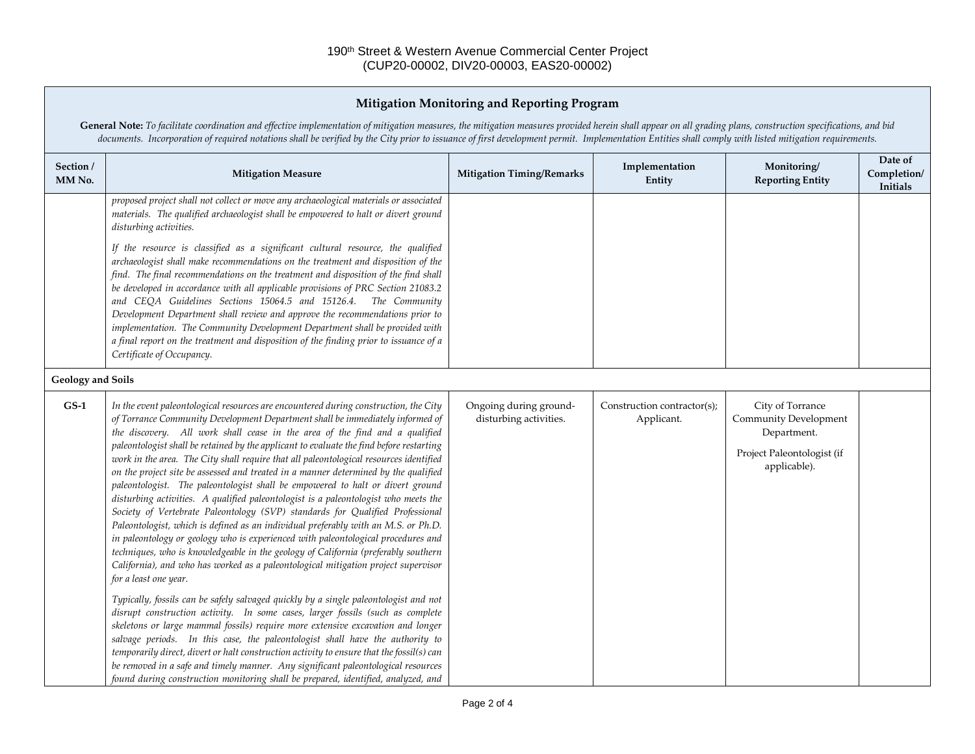## **Mitigation Monitoring and Reporting Program**

General Note: To facilitate coordination and effective implementation of mitigation measures, the mitigation measures provided herein shall appear on all grading plans, construction specifications, and bid *documents. Incorporation of required notations shall be verified by the City prior to issuance of first development permit. Implementation Entities shall comply with listed mitigation requirements.*

| Section /<br>MM No.      | <b>Mitigation Measure</b>                                                                                                                                                                                                                                                                                                                                                                                                                                                                                                                                                                                                                                                                                                                                                                                                                                                                                                                                                                                                                                                                                                                                                                                                                                                                                                                                                                                                                                                                                                                                                                                                                                                                                                                                                                        | <b>Mitigation Timing/Remarks</b>                 | Implementation<br>Entity                  | Monitoring/<br><b>Reporting Entity</b>                                                                        | Date of<br>Completion/<br>Initials |  |
|--------------------------|--------------------------------------------------------------------------------------------------------------------------------------------------------------------------------------------------------------------------------------------------------------------------------------------------------------------------------------------------------------------------------------------------------------------------------------------------------------------------------------------------------------------------------------------------------------------------------------------------------------------------------------------------------------------------------------------------------------------------------------------------------------------------------------------------------------------------------------------------------------------------------------------------------------------------------------------------------------------------------------------------------------------------------------------------------------------------------------------------------------------------------------------------------------------------------------------------------------------------------------------------------------------------------------------------------------------------------------------------------------------------------------------------------------------------------------------------------------------------------------------------------------------------------------------------------------------------------------------------------------------------------------------------------------------------------------------------------------------------------------------------------------------------------------------------|--------------------------------------------------|-------------------------------------------|---------------------------------------------------------------------------------------------------------------|------------------------------------|--|
|                          | proposed project shall not collect or move any archaeological materials or associated<br>materials. The qualified archaeologist shall be empowered to halt or divert ground<br>disturbing activities.                                                                                                                                                                                                                                                                                                                                                                                                                                                                                                                                                                                                                                                                                                                                                                                                                                                                                                                                                                                                                                                                                                                                                                                                                                                                                                                                                                                                                                                                                                                                                                                            |                                                  |                                           |                                                                                                               |                                    |  |
|                          | If the resource is classified as a significant cultural resource, the qualified<br>archaeologist shall make recommendations on the treatment and disposition of the<br>find. The final recommendations on the treatment and disposition of the find shall<br>be developed in accordance with all applicable provisions of PRC Section 21083.2<br>and CEQA Guidelines Sections 15064.5 and 15126.4. The Community<br>Development Department shall review and approve the recommendations prior to<br>implementation. The Community Development Department shall be provided with<br>a final report on the treatment and disposition of the finding prior to issuance of a<br>Certificate of Occupancy.                                                                                                                                                                                                                                                                                                                                                                                                                                                                                                                                                                                                                                                                                                                                                                                                                                                                                                                                                                                                                                                                                            |                                                  |                                           |                                                                                                               |                                    |  |
| <b>Geology and Soils</b> |                                                                                                                                                                                                                                                                                                                                                                                                                                                                                                                                                                                                                                                                                                                                                                                                                                                                                                                                                                                                                                                                                                                                                                                                                                                                                                                                                                                                                                                                                                                                                                                                                                                                                                                                                                                                  |                                                  |                                           |                                                                                                               |                                    |  |
| $GS-1$                   | In the event paleontological resources are encountered during construction, the City<br>of Torrance Community Development Department shall be immediately informed of<br>the discovery. All work shall cease in the area of the find and a qualified<br>paleontologist shall be retained by the applicant to evaluate the find before restarting<br>work in the area. The City shall require that all paleontological resources identified<br>on the project site be assessed and treated in a manner determined by the qualified<br>paleontologist. The paleontologist shall be empowered to halt or divert ground<br>disturbing activities. A qualified paleontologist is a paleontologist who meets the<br>Society of Vertebrate Paleontology (SVP) standards for Qualified Professional<br>Paleontologist, which is defined as an individual preferably with an M.S. or Ph.D.<br>in paleontology or geology who is experienced with paleontological procedures and<br>techniques, who is knowledgeable in the geology of California (preferably southern<br>California), and who has worked as a paleontological mitigation project supervisor<br>for a least one year.<br>Typically, fossils can be safely salvaged quickly by a single paleontologist and not<br>disrupt construction activity. In some cases, larger fossils (such as complete<br>skeletons or large mammal fossils) require more extensive excavation and longer<br>salvage periods. In this case, the paleontologist shall have the authority to<br>temporarily direct, divert or halt construction activity to ensure that the fossil(s) can<br>be removed in a safe and timely manner. Any significant paleontological resources<br>found during construction monitoring shall be prepared, identified, analyzed, and | Ongoing during ground-<br>disturbing activities. | Construction contractor(s);<br>Applicant. | City of Torrance<br><b>Community Development</b><br>Department.<br>Project Paleontologist (if<br>applicable). |                                    |  |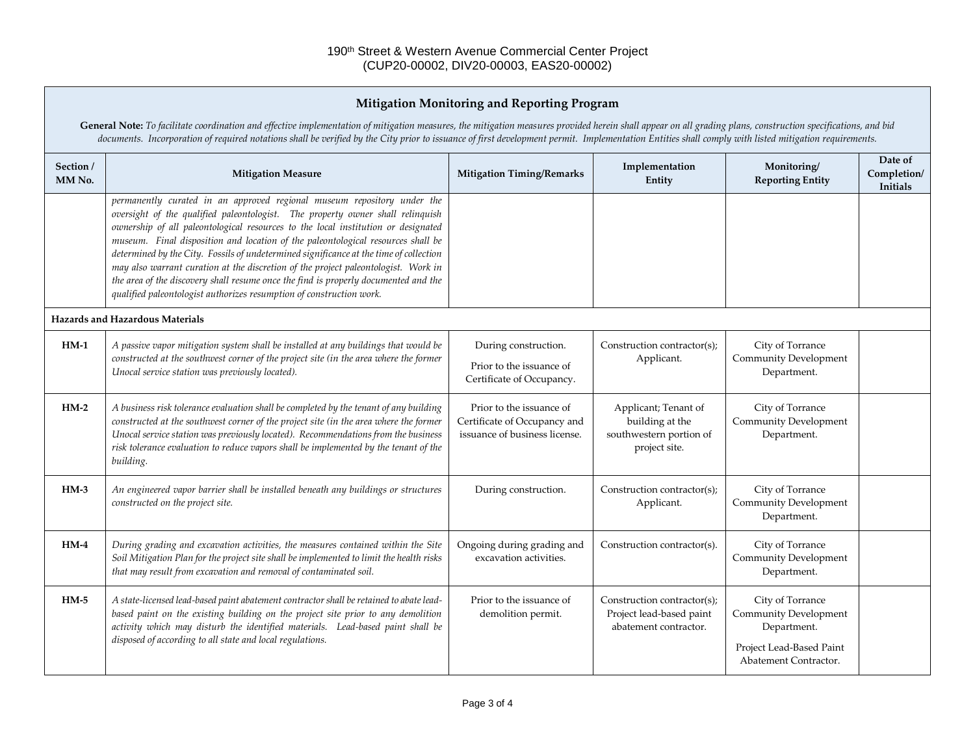## **Mitigation Monitoring and Reporting Program**

General Note: To facilitate coordination and effective implementation of mitigation measures, the mitigation measures provided herein shall appear on all grading plans, construction specifications, and bid *documents. Incorporation of required notations shall be verified by the City prior to issuance of first development permit. Implementation Entities shall comply with listed mitigation requirements.*

| Section /<br>MM No.                    | <b>Mitigation Measure</b>                                                                                                                                                                                                                                                                                                                                                                                                                                                                                                                                                                                                                                                         | <b>Mitigation Timing/Remarks</b>                                                          | Implementation<br>Entity                                                            | Monitoring/<br><b>Reporting Entity</b>                                                                               | Date of<br>Completion/<br>Initials |
|----------------------------------------|-----------------------------------------------------------------------------------------------------------------------------------------------------------------------------------------------------------------------------------------------------------------------------------------------------------------------------------------------------------------------------------------------------------------------------------------------------------------------------------------------------------------------------------------------------------------------------------------------------------------------------------------------------------------------------------|-------------------------------------------------------------------------------------------|-------------------------------------------------------------------------------------|----------------------------------------------------------------------------------------------------------------------|------------------------------------|
|                                        | permanently curated in an approved regional museum repository under the<br>oversight of the qualified paleontologist. The property owner shall relinquish<br>ownership of all paleontological resources to the local institution or designated<br>museum. Final disposition and location of the paleontological resources shall be<br>determined by the City. Fossils of undetermined significance at the time of collection<br>may also warrant curation at the discretion of the project paleontologist. Work in<br>the area of the discovery shall resume once the find is properly documented and the<br>qualified paleontologist authorizes resumption of construction work. |                                                                                           |                                                                                     |                                                                                                                      |                                    |
| <b>Hazards and Hazardous Materials</b> |                                                                                                                                                                                                                                                                                                                                                                                                                                                                                                                                                                                                                                                                                   |                                                                                           |                                                                                     |                                                                                                                      |                                    |
| $HM-1$                                 | A passive vapor mitigation system shall be installed at any buildings that would be<br>constructed at the southwest corner of the project site (in the area where the former<br>Unocal service station was previously located).                                                                                                                                                                                                                                                                                                                                                                                                                                                   | During construction.<br>Prior to the issuance of<br>Certificate of Occupancy.             | Construction contractor(s);<br>Applicant.                                           | City of Torrance<br><b>Community Development</b><br>Department.                                                      |                                    |
| $HM-2$                                 | A business risk tolerance evaluation shall be completed by the tenant of any building<br>constructed at the southwest corner of the project site (in the area where the former<br>Unocal service station was previously located). Recommendations from the business<br>risk tolerance evaluation to reduce vapors shall be implemented by the tenant of the<br>building.                                                                                                                                                                                                                                                                                                          | Prior to the issuance of<br>Certificate of Occupancy and<br>issuance of business license. | Applicant; Tenant of<br>building at the<br>southwestern portion of<br>project site. | City of Torrance<br><b>Community Development</b><br>Department.                                                      |                                    |
| $HM-3$                                 | An engineered vapor barrier shall be installed beneath any buildings or structures<br>constructed on the project site.                                                                                                                                                                                                                                                                                                                                                                                                                                                                                                                                                            | During construction.                                                                      | Construction contractor(s);<br>Applicant.                                           | City of Torrance<br><b>Community Development</b><br>Department.                                                      |                                    |
| $HM-4$                                 | During grading and excavation activities, the measures contained within the Site<br>Soil Mitigation Plan for the project site shall be implemented to limit the health risks<br>that may result from excavation and removal of contaminated soil.                                                                                                                                                                                                                                                                                                                                                                                                                                 | Ongoing during grading and<br>excavation activities.                                      | Construction contractor(s).                                                         | City of Torrance<br><b>Community Development</b><br>Department.                                                      |                                    |
| $HM-5$                                 | A state-licensed lead-based paint abatement contractor shall be retained to abate lead-<br>based paint on the existing building on the project site prior to any demolition<br>activity which may disturb the identified materials. Lead-based paint shall be<br>disposed of according to all state and local regulations.                                                                                                                                                                                                                                                                                                                                                        | Prior to the issuance of<br>demolition permit.                                            | Construction contractor(s);<br>Project lead-based paint<br>abatement contractor.    | City of Torrance<br><b>Community Development</b><br>Department.<br>Project Lead-Based Paint<br>Abatement Contractor. |                                    |